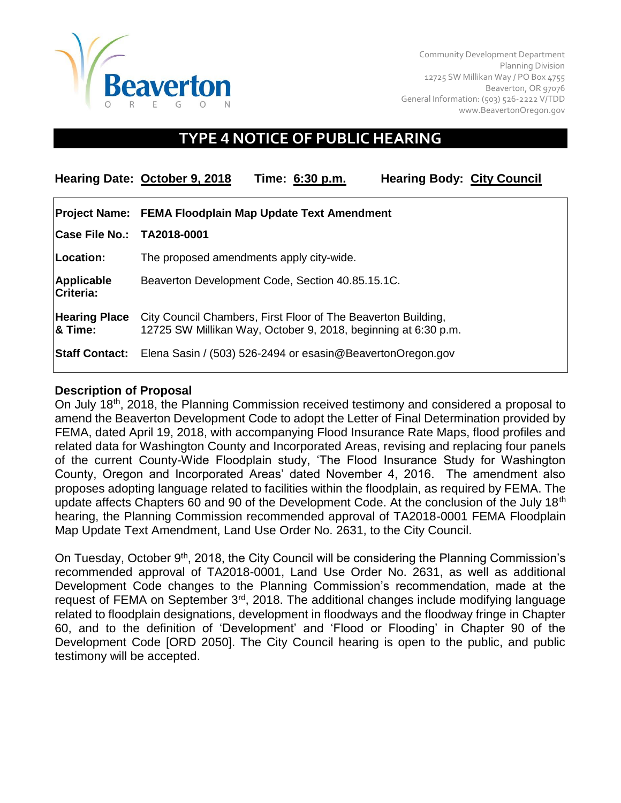

Community Development Department Planning Division 12725 SW Millikan Way / PO Box 4755 Beaverton, OR 97076 General Information: (503) 526-2222 V/TDD [www.BeavertonOregon.gov](http://www.beavertonoregon.gov/)

# **TYPE 4 NOTICE OF PUBLIC HEARING**

|                                 | Hearing Date: October 9, 2018                                                                                                   | Time: 6:30 p.m. | <b>Hearing Body: City Council</b> |
|---------------------------------|---------------------------------------------------------------------------------------------------------------------------------|-----------------|-----------------------------------|
|                                 | Project Name: FEMA Floodplain Map Update Text Amendment                                                                         |                 |                                   |
| Case File No.: TA2018-0001      |                                                                                                                                 |                 |                                   |
| Location:                       | The proposed amendments apply city-wide.                                                                                        |                 |                                   |
| Applicable<br>Criteria:         | Beaverton Development Code, Section 40.85.15.1C.                                                                                |                 |                                   |
| <b>Hearing Place</b><br>& Time: | City Council Chambers, First Floor of The Beaverton Building,<br>12725 SW Millikan Way, October 9, 2018, beginning at 6:30 p.m. |                 |                                   |
| <b>Staff Contact:</b>           | Elena Sasin / (503) 526-2494 or esasin@BeavertonOregon.gov                                                                      |                 |                                   |

#### **Description of Proposal**

On July 18th, 2018, the Planning Commission received testimony and considered a proposal to amend the Beaverton Development Code to adopt the Letter of Final Determination provided by FEMA, dated April 19, 2018, with accompanying Flood Insurance Rate Maps, flood profiles and related data for Washington County and Incorporated Areas, revising and replacing four panels of the current County-Wide Floodplain study, 'The Flood Insurance Study for Washington County, Oregon and Incorporated Areas' dated November 4, 2016. The amendment also proposes adopting language related to facilities within the floodplain, as required by FEMA. The update affects Chapters 60 and 90 of the Development Code. At the conclusion of the July 18<sup>th</sup> hearing, the Planning Commission recommended approval of TA2018-0001 FEMA Floodplain Map Update Text Amendment, Land Use Order No. 2631, to the City Council.

On Tuesday, October 9<sup>th</sup>, 2018, the City Council will be considering the Planning Commission's recommended approval of TA2018-0001, Land Use Order No. 2631, as well as additional Development Code changes to the Planning Commission's recommendation, made at the request of FEMA on September 3rd, 2018. The additional changes include modifying language related to floodplain designations, development in floodways and the floodway fringe in Chapter 60, and to the definition of 'Development' and 'Flood or Flooding' in Chapter 90 of the Development Code [ORD 2050]. The City Council hearing is open to the public, and public testimony will be accepted.